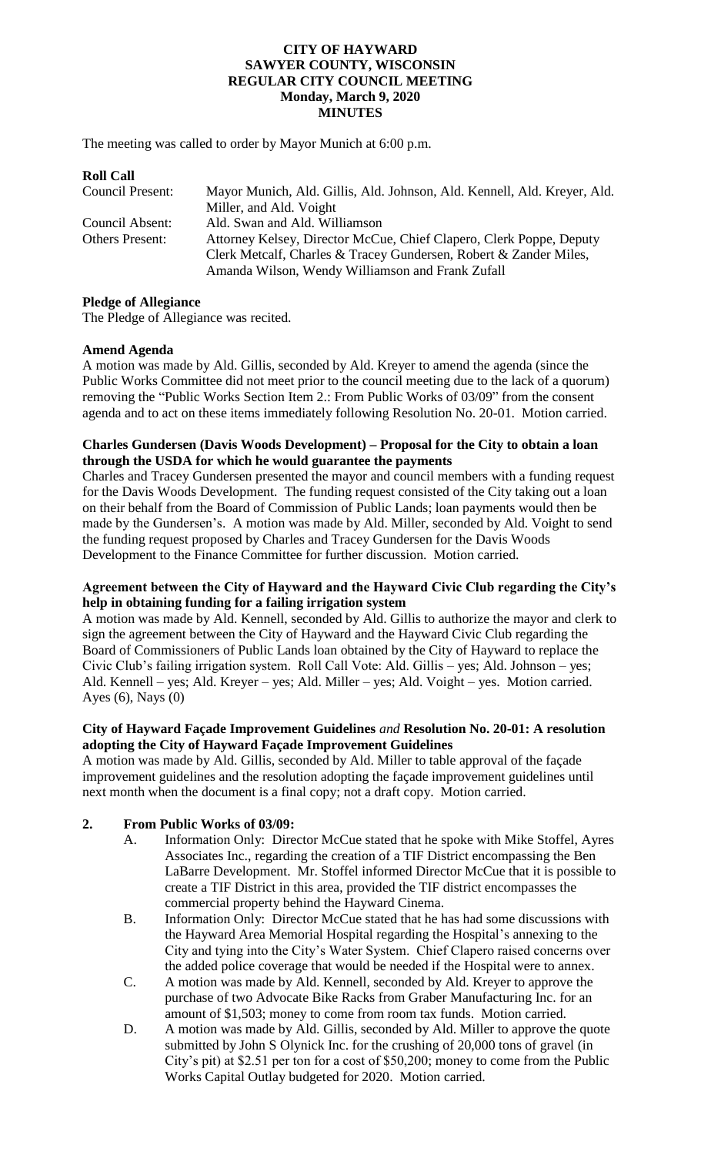#### **CITY OF HAYWARD SAWYER COUNTY, WISCONSIN REGULAR CITY COUNCIL MEETING Monday, March 9, 2020 MINUTES**

The meeting was called to order by Mayor Munich at 6:00 p.m.

# **Roll Call** Council Present: Mayor Munich, Ald. Gillis, Ald. Johnson, Ald. Kennell, Ald. Kreyer, Ald. Miller, and Ald. Voight Council Absent: Ald. Swan and Ald. Williamson Others Present: Attorney Kelsey, Director McCue, Chief Clapero, Clerk Poppe, Deputy Clerk Metcalf, Charles & Tracey Gundersen, Robert & Zander Miles, Amanda Wilson, Wendy Williamson and Frank Zufall

#### **Pledge of Allegiance**

The Pledge of Allegiance was recited.

#### **Amend Agenda**

A motion was made by Ald. Gillis, seconded by Ald. Kreyer to amend the agenda (since the Public Works Committee did not meet prior to the council meeting due to the lack of a quorum) removing the "Public Works Section Item 2.: From Public Works of 03/09" from the consent agenda and to act on these items immediately following Resolution No. 20-01. Motion carried.

### **Charles Gundersen (Davis Woods Development) – Proposal for the City to obtain a loan through the USDA for which he would guarantee the payments**

Charles and Tracey Gundersen presented the mayor and council members with a funding request for the Davis Woods Development. The funding request consisted of the City taking out a loan on their behalf from the Board of Commission of Public Lands; loan payments would then be made by the Gundersen's. A motion was made by Ald. Miller, seconded by Ald. Voight to send the funding request proposed by Charles and Tracey Gundersen for the Davis Woods Development to the Finance Committee for further discussion. Motion carried.

### **Agreement between the City of Hayward and the Hayward Civic Club regarding the City's help in obtaining funding for a failing irrigation system**

A motion was made by Ald. Kennell, seconded by Ald. Gillis to authorize the mayor and clerk to sign the agreement between the City of Hayward and the Hayward Civic Club regarding the Board of Commissioners of Public Lands loan obtained by the City of Hayward to replace the Civic Club's failing irrigation system. Roll Call Vote: Ald. Gillis – yes; Ald. Johnson – yes; Ald. Kennell – yes; Ald. Kreyer – yes; Ald. Miller – yes; Ald. Voight – yes. Motion carried. Ayes (6), Nays (0)

#### **City of Hayward Façade Improvement Guidelines** *and* **Resolution No. 20-01: A resolution adopting the City of Hayward Façade Improvement Guidelines**

A motion was made by Ald. Gillis, seconded by Ald. Miller to table approval of the façade improvement guidelines and the resolution adopting the façade improvement guidelines until next month when the document is a final copy; not a draft copy. Motion carried.

### **2. From Public Works of 03/09:**

- A. Information Only: Director McCue stated that he spoke with Mike Stoffel, Ayres Associates Inc., regarding the creation of a TIF District encompassing the Ben LaBarre Development. Mr. Stoffel informed Director McCue that it is possible to create a TIF District in this area, provided the TIF district encompasses the commercial property behind the Hayward Cinema.
- B. Information Only: Director McCue stated that he has had some discussions with the Hayward Area Memorial Hospital regarding the Hospital's annexing to the City and tying into the City's Water System. Chief Clapero raised concerns over the added police coverage that would be needed if the Hospital were to annex.
- C. A motion was made by Ald. Kennell, seconded by Ald. Kreyer to approve the purchase of two Advocate Bike Racks from Graber Manufacturing Inc. for an amount of \$1,503; money to come from room tax funds. Motion carried.
- D. A motion was made by Ald. Gillis, seconded by Ald. Miller to approve the quote submitted by John S Olynick Inc. for the crushing of 20,000 tons of gravel (in City's pit) at \$2.51 per ton for a cost of \$50,200; money to come from the Public Works Capital Outlay budgeted for 2020. Motion carried.